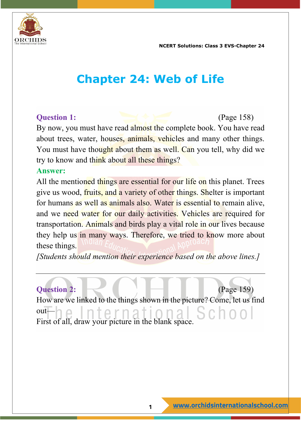

## **Chapter 24: Web of Life**

**Question 1:** (Page 158) By now, you must have read almost the complete book. You have read about trees, water, houses, animals, vehicles and many other things. You must have thought about them as well. Can you tell, why did we try to know and think about all these things?

### **Answer:**

All the mentioned things are essential for our life on this planet. Trees give us wood, fruits, and a variety of other things. Shelter is important for humans as well as animals also. Water is essential to remain alive, and we need water for our daily activities. Vehicles are required for transportation. Animals and birds play a vital role in our lives because they help us in many ways. Therefore, we tried to know more about these things.

*[Students should mention their experience based on the above lines.]*

**Question 2:** (Page 159) How are we linked to the things shown in the picture? Come, let us find out rna First of all, draw your picture in the blank space.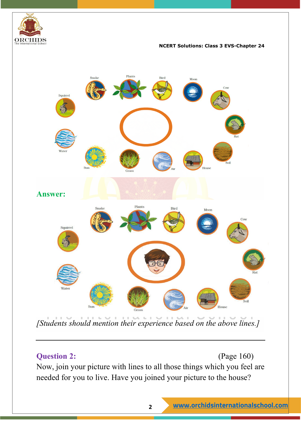



*[Students should mention their experience based on the above lines.]*

### **Question 2:** (Page 160)

Now, join your picture with lines to all those things which you feel are needed for you to live. Have you joined your picture to the house?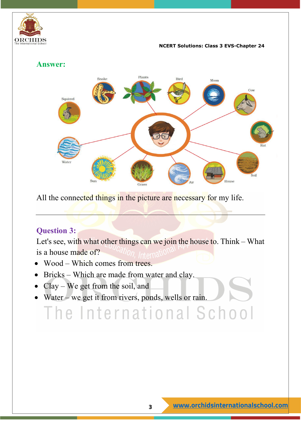



All the connected things in the picture are necessary for my life.

### **Question 3:**

Let's see, with what other things can we join the house to. Think – What is a house made of?

- Wood Which comes from trees.
- Bricks Which are made from water and clay.
- Clay We get from the soil, and
- Water we get it from rivers, ponds, wells or rain.

# The International School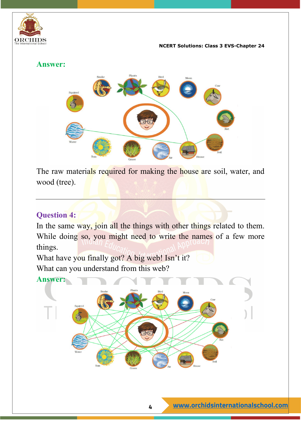

### **Answer:**



The raw materials required for making the house are soil, water, and wood (tree).

### **Question 4:**

In the same way, join all the things with other things related to them. While doing so, you might need to write the names of a few more things.

What have you finally got? A big web! Isn't it? What can you understand from this web?